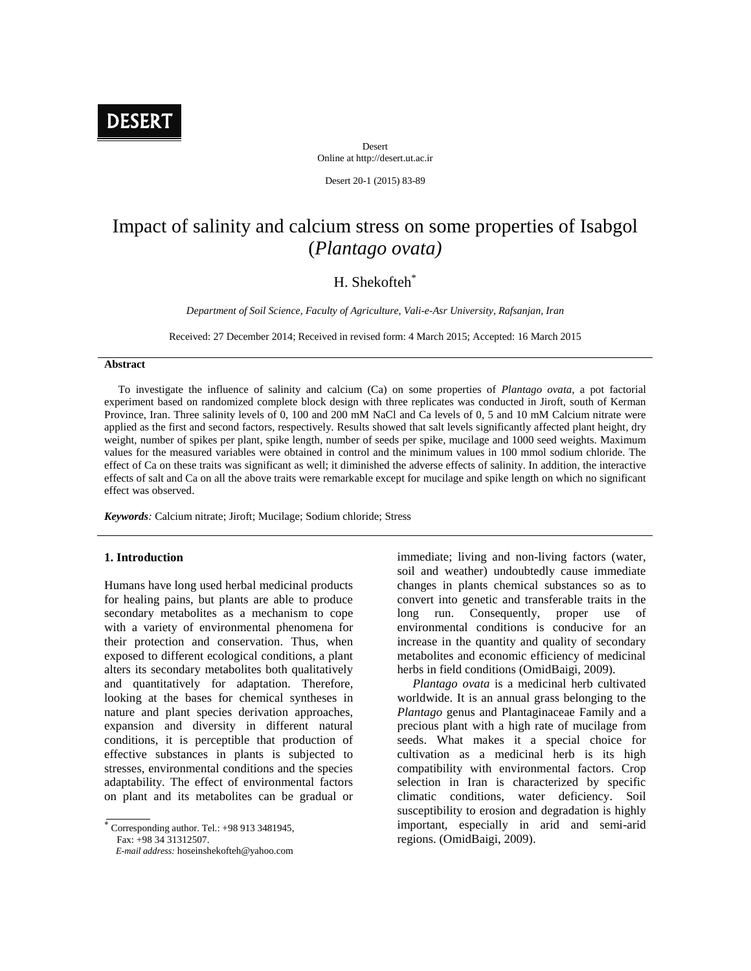

Desert Online at http://desert.ut.ac.ir

Desert 20-1 (2015) 83-89

# Impact of salinity and calcium stress on some properties of Isabgol (*Plantago ovata)*

## H. Shekofteh\*

*Department of Soil Science, Faculty of Agriculture, Vali-e-Asr University, Rafsanjan, Iran*

Received: 27 December 2014; Received in revised form: 4 March 2015; Accepted: 16 March 2015

#### **Abstract**

To investigate the influence of salinity and calcium (Ca) on some properties of *Plantago ovata*, a pot factorial experiment based on randomized complete block design with three replicates was conducted in Jiroft, south of Kerman Province, Iran. Three salinity levels of 0, 100 and 200 mM NaCl and Ca levels of 0, 5 and 10 mM Calcium nitrate were applied as the first and second factors, respectively. Results showed that salt levels significantly affected plant height, dry weight, number of spikes per plant, spike length, number of seeds per spike, mucilage and 1000 seed weights. Maximum values for the measured variables were obtained in control and the minimum values in 100 mmol sodium chloride. The effect of Ca on these traits was significant as well; it diminished the adverse effects of salinity. In addition, the interactive effects of salt and Ca on all the above traits were remarkable except for mucilage and spike length on which no significant effect was observed.

*Keywords:* Calcium nitrate; Jiroft; Mucilage; Sodium chloride; Stress

## **1. Introduction**

Humans have long used herbal medicinal products for healing pains, but plants are able to produce secondary metabolites as a mechanism to cope with a variety of environmental phenomena for their protection and conservation. Thus, when exposed to different ecological conditions, a plant alters its secondary metabolites both qualitatively and quantitatively for adaptation. Therefore, looking at the bases for chemical syntheses in nature and plant species derivation approaches, expansion and diversity in different natural conditions, it is perceptible that production of effective substances in plants is subjected to stresses, environmental conditions and the species adaptability. The effect of environmental factors on plant and its metabolites can be gradual or immediate; living and non-living factors (water, soil and weather) undoubtedly cause immediate changes in plants chemical substances so as to convert into genetic and transferable traits in the long run. Consequently, proper use of environmental conditions is conducive for an increase in the quantity and quality of secondary metabolites and economic efficiency of medicinal herbs in field conditions (OmidBaigi, 2009).

*Plantago ovata* is a medicinal herb cultivated worldwide. It is an annual grass belonging to the *Plantago* genus and Plantaginaceae Family and a precious plant with a high rate of mucilage from seeds. What makes it a special choice for cultivation as a medicinal herb is its high compatibility with environmental factors. Crop selection in Iran is characterized by specific climatic conditions, water deficiency. Soil susceptibility to erosion and degradation is highly important, especially in arid and semi-arid regions. (OmidBaigi, 2009).

Corresponding author. Tel.:  $+989133481945$ , Fax: +98 34 31312507.

*E-mail address:* hoseinshekofteh@yahoo.com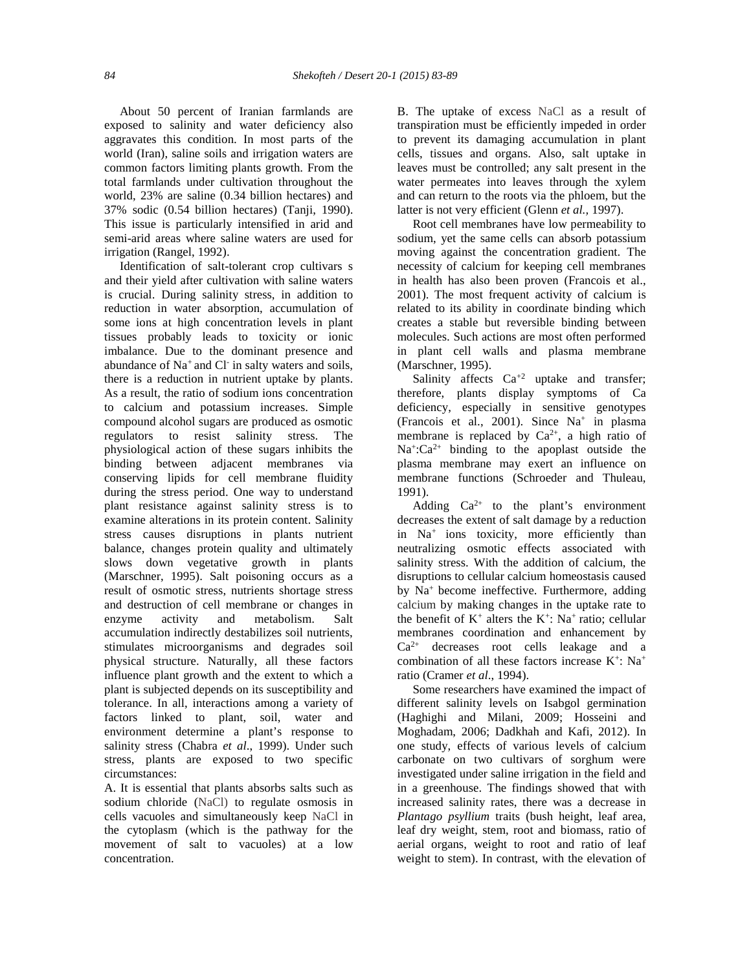About 50 percent of Iranian farmlands are exposed to salinity and water deficiency also aggravates this condition. In most parts of the world (Iran), saline soils and irrigation waters are common factors limiting plants growth. From the total farmlands under cultivation throughout the world, 23% are saline (0.34 billion hectares) and 37% sodic (0.54 billion hectares) (Tanji, 1990). This issue is particularly intensified in arid and semi-arid areas where saline waters are used for irrigation (Rangel, 1992).

Identification of salt-tolerant crop cultivars s and their yield after cultivation with saline waters is crucial. During salinity stress, in addition to reduction in water absorption, accumulation of some ions at high concentration levels in plant tissues probably leads to toxicity or ionic imbalance. Due to the dominant presence and abundance of Na<sup>+</sup> and Cl - in salty waters and soils, there is a reduction in nutrient uptake by plants. As a result, the ratio of sodium ions concentration to calcium and potassium increases. Simple compound alcohol sugars are produced as osmotic regulators to resist salinity stress. The physiological action of these sugars inhibits the binding between adjacent membranes via conserving lipids for cell membrane fluidity during the stress period. One way to understand plant resistance against salinity stress is to examine alterations in its protein content. Salinity stress causes disruptions in plants nutrient balance, changes protein quality and ultimately slows down vegetative growth in plants (Marschner, 1995). Salt poisoning occurs as a result of osmotic stress, nutrients shortage stress and destruction of cell membrane or changes in enzyme activity and metabolism. Salt accumulation indirectly destabilizes soil nutrients, stimulates microorganisms and degrades soil physical structure. Naturally, all these factors influence plant growth and the extent to which a plant is subjected depends on its susceptibility and tolerance. In all, interactions among a variety of factors linked to plant, soil, water and environment determine a plant's response to salinity stress (Chabra *et al*., 1999). Under such stress, plants are exposed to two specific circumstances:

A. It is essential that plants absorbs salts such as sodium chloride (NaCl) to regulate osmosis in cells vacuoles and simultaneously keep NaCl in the cytoplasm (which is the pathway for the movement of salt to vacuoles) at a low concentration.

B. The uptake of excess NaCl as a result of transpiration must be efficiently impeded in order to prevent its damaging accumulation in plant cells, tissues and organs. Also, salt uptake in leaves must be controlled; any salt present in the water permeates into leaves through the xylem and can return to the roots via the phloem, but the latter is not very efficient (Glenn *et al.,* 1997).

Root cell membranes have low permeability to sodium, yet the same cells can absorb potassium moving against the concentration gradient. The necessity of calcium for keeping cell membranes in health has also been proven (Francois et al., 2001). The most frequent activity of calcium is related to its ability in coordinate binding which creates a stable but reversible binding between molecules. Such actions are most often performed in plant cell walls and plasma membrane (Marschner, 1995).

Salinity affects  $Ca^{+2}$  uptake and transfer; therefore, plants display symptoms of Ca deficiency, especially in sensitive genotypes (Francois et al., 2001). Since Na<sup>+</sup> in plasma membrane is replaced by  $Ca^{2+}$ , a high ratio of  $Na^{+}:Ca^{2+}$  binding to the apoplast outside the plasma membrane may exert an influence on membrane functions (Schroeder and Thuleau, 1991).

Adding  $Ca^{2+}$  to the plant's environment decreases the extent of salt damage by a reduction in Na<sup>+</sup> ions toxicity, more efficiently than neutralizing osmotic effects associated with salinity stress. With the addition of calcium, the disruptions to cellular calcium homeostasis caused by Na<sup>+</sup> become ineffective. Furthermore, adding calcium by making changes in the uptake rate to the benefit of  $K^+$  alters the  $K^+$ : Na<sup>+</sup> ratio; cellular membranes coordination and enhancement by  $Ca^{2+}$  decreases root cells leakage and a combination of all these factors increase  $K^+$ : Na<sup>+</sup> ratio (Cramer *et al*., 1994).

Some researchers have examined the impact of different salinity levels on Isabgol germination (Haghighi and Milani, 2009; Hosseini and Moghadam, 2006; Dadkhah and Kafi, 2012). In one study, effects of various levels of calcium carbonate on two cultivars of sorghum were investigated under saline irrigation in the field and in a greenhouse. The findings showed that with increased salinity rates, there was a decrease in *Plantago psyllium* traits (bush height, leaf area, leaf dry weight, stem, root and biomass, ratio of aerial organs, weight to root and ratio of leaf weight to stem). In contrast, with the elevation of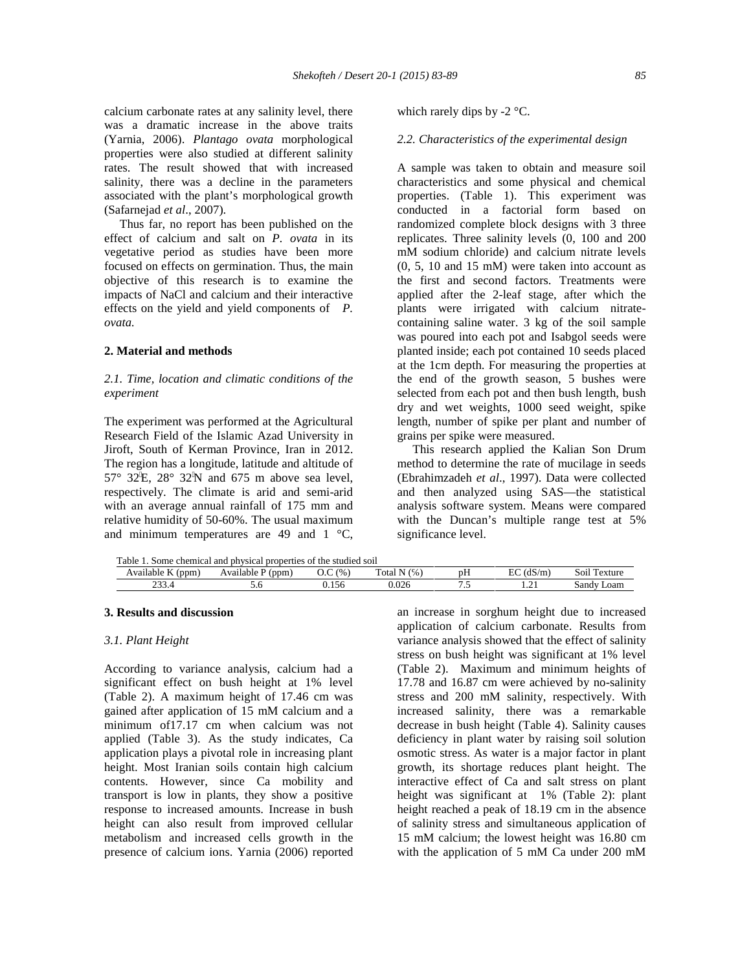calcium carbonate rates at any salinity level, there was a dramatic increase in the above traits (Yarnia, 2006). *Plantago ovata* morphological properties were also studied at different salinity rates. The result showed that with increased salinity, there was a decline in the parameters associated with the plant's morphological growth (Safarnejad *et al*., 2007).

Thus far, no report has been published on the effect of calcium and salt on *P. ovata* in its vegetative period as studies have been more focused on effects on germination. Thus, the main objective of this research is to examine the impacts of NaCl and calcium and their interactive effects on the yield and yield components of *P. ovata.*

## **2. Material and methods**

## *2.1. Time, location and climatic conditions of the experiment*

The experiment was performed at the Agricultural Research Field of the Islamic Azad University in Jiroft, South of Kerman Province, Iran in 2012. The region has a longitude, latitude and altitude of 57° 32E, 28° 32N and 675 m above sea level, respectively. The climate is arid and semi-arid with an average annual rainfall of 175 mm and relative humidity of 50-60%. The usual maximum and minimum temperatures are 49 and 1 °C,

which rarely dips by  $-2$  °C.

## *2.2. Characteristics of the experimental design*

A sample was taken to obtain and measure soil characteristics and some physical and chemical properties. (Table 1). This experiment was conducted in a factorial form based on randomized complete block designs with 3 three replicates. Three salinity levels (0, 100 and 200 mM sodium chloride) and calcium nitrate levels (0, 5, 10 and 15 mM) were taken into account as the first and second factors. Treatments were applied after the 2-leaf stage, after which the plants were irrigated with calcium nitrate containing saline water. 3 kg of the soil sample was poured into each pot and Isabgol seeds were planted inside; each pot contained 10 seeds placed at the 1cm depth. For measuring the properties at the end of the growth season, 5 bushes were selected from each pot and then bush length, bush dry and wet weights, 1000 seed weight, spike length, number of spike per plant and number of grains per spike were measured.

This research applied the Kalian Son Drum method to determine the rate of mucilage in seeds (Ebrahimzadeh *et al*., 1997). Data were collected and then analyzed using SAS―the statistical analysis software system. Means were compared with the Duncan's multiple range test at 5% significance level.

Table 1. Some chemical and physical properties of the studied soil

| .ppm<br>lable<br>. . | 'ppm<br>Ava<br>lable | (9/6)                         | œ<br>$\Omega$<br>via | $-$<br>рH | $\Gamma$<br>1 <sub>0</sub><br>$\mathsf{m}$<br>∽<br>$\mathbf{u}$<br>. | -<br>exture<br>801 |
|----------------------|----------------------|-------------------------------|----------------------|-----------|----------------------------------------------------------------------|--------------------|
| $\sim$<br>233.T      | J.U                  | $\overline{\phantom{0}}$<br>י | J.∪∠∖                |           | $\cdots$                                                             | Loam<br>Sand       |
|                      |                      |                               |                      |           |                                                                      |                    |

## **3. Results and discussion**

#### *3.1. Plant Height*

According to variance analysis, calcium had a significant effect on bush height at 1% level (Table 2). A maximum height of 17.46 cm was gained after application of 15 mM calcium and a minimum of17.17 cm when calcium was not applied (Table 3). As the study indicates, Ca application plays a pivotal role in increasing plant height. Most Iranian soils contain high calcium contents. However, since Ca mobility and transport is low in plants, they show a positive response to increased amounts. Increase in bush height can also result from improved cellular metabolism and increased cells growth in the presence of calcium ions. Yarnia (2006) reported

an increase in sorghum height due to increased application of calcium carbonate. Results from variance analysis showed that the effect of salinity stress on bush height was significant at 1% level (Table 2). Maximum and minimum heights of 17.78 and 16.87 cm were achieved by no-salinity stress and 200 mM salinity, respectively. With increased salinity, there was a remarkable decrease in bush height (Table 4). Salinity causes deficiency in plant water by raising soil solution osmotic stress. As water is a major factor in plant growth, its shortage reduces plant height. The interactive effect of Ca and salt stress on plant height was significant at 1% (Table 2): plant height reached a peak of 18.19 cm in the absence of salinity stress and simultaneous application of 15 mM calcium; the lowest height was 16.80 cm with the application of 5 mM Ca under 200 mM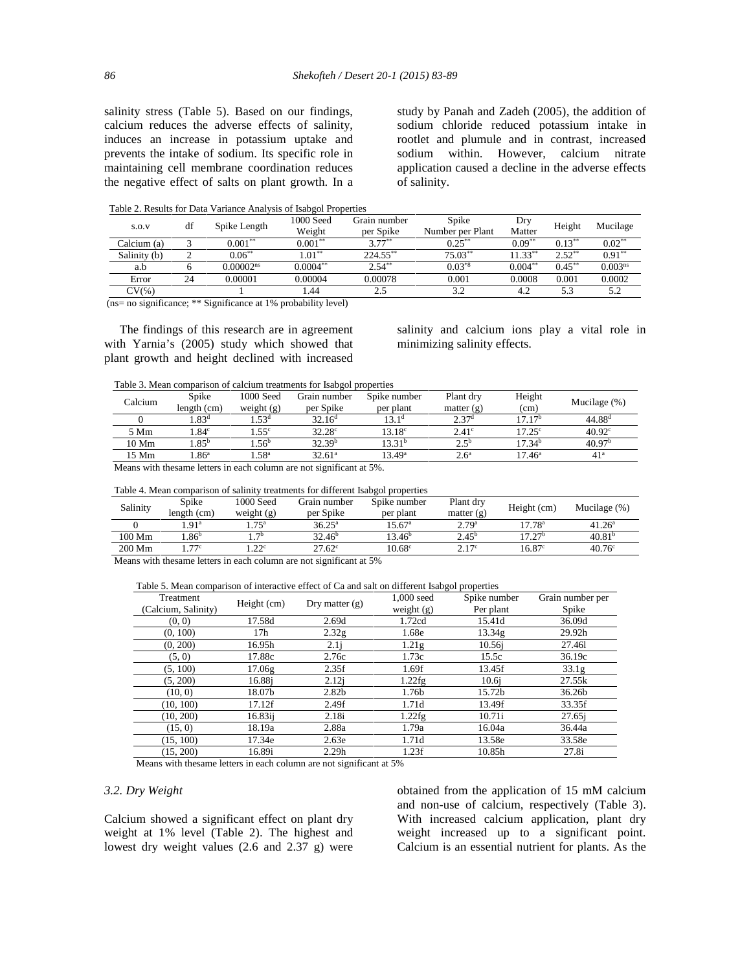salinity stress (Table 5). Based on our findings, calcium reduces the adverse effects of salinity, induces an increase in potassium uptake and prevents the intake of sodium. Its specific role in maintaining cell membrane coordination reduces the negative effect of salts on plant growth. In a study by Panah and Zadeh (2005), the addition of sodium chloride reduced potassium intake in rootlet and plumule and in contrast, increased sodium within. However, calcium nitrate application caused a decline in the adverse effects of salinity.

Table 2. Results for Data Variance Analysis of Isabgol Properties

| S.O.V        | df | Spike Length            | 1000 Seed<br>Weight | Grain number<br>per Spike | Spike<br>Number per Plant | Dry<br>Matter | Height    | Mucilage     |
|--------------|----|-------------------------|---------------------|---------------------------|---------------------------|---------------|-----------|--------------|
| Calcium (a)  |    | $0.001^{\ast\ast}$      | $0.001***$          | $3.77***$                 | $0.25***$                 | $0.09***$     | $0.13***$ | $0.02***$    |
| Salinity (b) |    | $0.06***$               | $1.01^{\ast\ast}$   | $224.55$ **               | $75.03**$                 | $11.33***$    | $2.52**$  | $0.91***$    |
| a.b          |    | $0.00002$ <sup>ns</sup> | $0.0004***$         | $2.54***$                 | $0.03^{*8}$               | $0.004***$    | $0.45***$ | $0.003^{ns}$ |
| Error        | 24 | 0.00001                 | 0.00004             | 0.00078                   | 0.001                     | 0.0008        | 0.001     | 0.0002       |
| CV(          |    |                         | 1.44                | 2.5                       | ے ۔                       | 4.2           |           | 5.2          |

(ns= no significance; \*\* Significance at 1% probability level)

The findings of this research are in agreement with Yarnia's (2005) study which showed that plant growth and height declined with increased salinity and calcium ions play a vital role in minimizing salinity effects.

Table 3. Mean comparison of calcium treatments for Isabgol properties

| Calcium         | Spike<br>length (cm) | 1000 Seed<br>weight $(g)$ | Grain number<br>per Spike | Spike number<br>per plant | Plant dry<br>matter $(g)$ | Height<br>(cm)     | Mucilage $(\%)$    |
|-----------------|----------------------|---------------------------|---------------------------|---------------------------|---------------------------|--------------------|--------------------|
|                 | 1.83 <sup>d</sup>    | .53 <sup>d</sup>          | $32.16^{\rm d}$           | 13.1 <sup>d</sup>         | 2.37 <sup>d</sup>         | 17.17 <sup>b</sup> | $44.88^{d}$        |
| 5 Mm            | .84 <sup>c</sup>     | $1.55^{\circ}$            | $32.28^{\circ}$           | $13.18^{\circ}$           | $2.41^\circ$              | $17.25^{\circ}$    | $40.92^{\circ}$    |
| $10 \text{ Mm}$ | $1.85^{\rm b}$       | $4.56^{\rm b}$            | 32.39 <sup>b</sup>        | 13.31 <sup>b</sup>        | $2.5^{b}$                 | 17.34 <sup>b</sup> | 40.97 <sup>b</sup> |
| 15 Mm           | 1.86 <sup>a</sup>    | $1.58^{\rm a}$            | $32.61^{\circ}$           | $13.49^{\rm a}$           | 2.6 <sup>a</sup>          | $17.46^{\rm a}$    | 41 <sup>a</sup>    |
| .               |                      |                           | .                         | ---                       |                           |                    |                    |

Means with thesame letters in each column are not significant at 5%.

| Table 4. Mean comparison of salinity treatments for different Isabgol properties |  |  |
|----------------------------------------------------------------------------------|--|--|
|                                                                                  |  |  |

| Salinity | Spike<br>length (cm) | 1000 Seed<br>weight $(g)$ | Grain number<br>per Spike | Spike number<br>per plant | Plant dry<br>matter $(g)$ | Height (cm)        | Mucilage $(\%)$    |
|----------|----------------------|---------------------------|---------------------------|---------------------------|---------------------------|--------------------|--------------------|
|          | .91 <sup>a</sup>     | .75 <sup>a</sup>          | $36.25^{\circ}$           | $15.67^{\circ}$           | 2.79 <sup>a</sup>         | $17.78^{\rm a}$    | $41.26^{\rm a}$    |
| 100 Mm   | .86 <sup>b</sup>     | $\neg$ b                  | 32.46 <sup>b</sup>        | 13.46 <sup>b</sup>        | $2.45^{\rm b}$            | 17.27 <sup>b</sup> | 40.81 <sup>b</sup> |
| 200 Mm   | 77c                  | .22 <sup>c</sup>          | $27.62^{\circ}$           | 10.68 <sup>c</sup>        | 2.17c                     | $16.87^\circ$      | 40.76 <sup>c</sup> |

Means with thesame letters in each column are not significant at 5%

#### Table 5. Mean comparison of interactive effect of Ca and salt on different Isabgol properties

| Treatment           | Height $(cm)$   | Dry matter $(g)$  | $1.000$ seed      | Spike number | Grain number per |
|---------------------|-----------------|-------------------|-------------------|--------------|------------------|
| (Calcium, Salinity) |                 |                   | weight $(g)$      | Per plant    | Spike            |
| (0, 0)              | 17.58d          | 2.69d             | 1.72cd            | 15.41d       | 36.09d           |
| (0, 100)            | 17 <sub>h</sub> | 2.32g             | 1.68e             | 13.34g       | 29.92h           |
| (0, 200)            | 16.95h          | 2.1i              | 1.21 <sub>g</sub> | $10.56$ i    | 27.461           |
| (5, 0)              | 17.88c          | 2.76c             | 1.73c             | 15.5c        | 36.19c           |
| (5, 100)            | 17.06g          | 2.35f             | 1.69f             | 13.45f       | 33.1g            |
| (5, 200)            | 16.88i          | 2.12i             | 1.22fg            | 10.6i        | 27.55k           |
| (10, 0)             | 18.07b          | 2.82 <sub>b</sub> | 1.76b             | 15.72b       | 36.26b           |
| (10, 100)           | 17.12f          | 2.49f             | 1.71d             | 13.49f       | 33.35f           |
| (10, 200)           | 16.83ii         | 2.18i             | 1.22fg            | 10.71i       | $27.65$ i        |
| (15, 0)             | 18.19a          | 2.88a             | 1.79a             | 16.04a       | 36.44a           |
| (15, 100)           | 17.34e          | 2.63e             | 1.71d             | 13.58e       | 33.58e           |
| (15, 200)           | 16.89i          | 2.29h             | 1.23f             | 10.85h       | 27.8i            |

Means with thesame letters in each column are not significant at 5%

#### *3.2. Dry Weight*

Calcium showed a significant effect on plant dry weight at 1% level (Table 2). The highest and lowest dry weight values (2.6 and 2.37 g) were

obtained from the application of 15 mM calcium and non-use of calcium, respectively (Table 3). With increased calcium application, plant dry weight increased up to a significant point. Calcium is an essential nutrient for plants. As the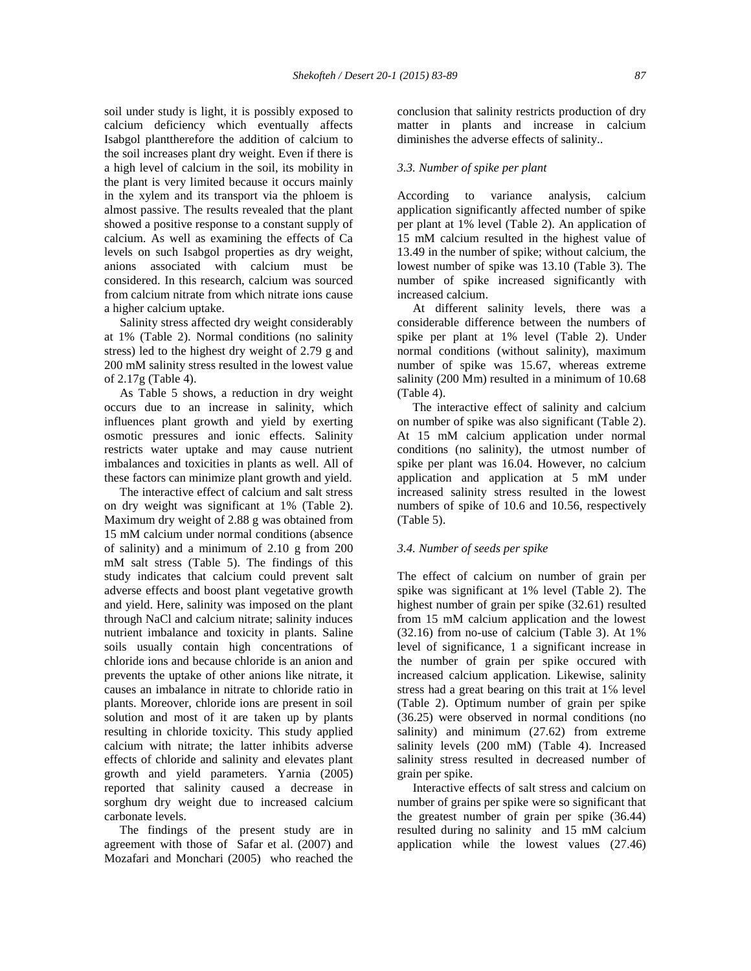soil under study is light, it is possibly exposed to calcium deficiency which eventually affects Isabgol planttherefore the addition of calcium to the soil increases plant dry weight. Even if there is a high level of calcium in the soil, its mobility in the plant is very limited because it occurs mainly in the xylem and its transport via the phloem is almost passive. The results revealed that the plant showed a positive response to a constant supply of calcium. As well as examining the effects of Ca levels on such Isabgol properties as dry weight, anions associated with calcium must be considered. In this research, calcium was sourced from calcium nitrate from which nitrate ions cause a higher calcium uptake.

Salinity stress affected dry weight considerably at 1% (Table 2). Normal conditions (no salinity stress) led to the highest dry weight of 2.79 g and 200 mM salinity stress resulted in the lowest value of 2.17g (Table 4).

As Table 5 shows, a reduction in dry weight occurs due to an increase in salinity, which influences plant growth and yield by exerting osmotic pressures and ionic effects. Salinity restricts water uptake and may cause nutrient imbalances and toxicities in plants as well. All of these factors can minimize plant growth and yield.

The interactive effect of calcium and salt stress on dry weight was significant at 1% (Table 2). Maximum dry weight of 2.88 g was obtained from 15 mM calcium under normal conditions (absence of salinity) and a minimum of 2.10 g from 200 mM salt stress (Table 5). The findings of this study indicates that calcium could prevent salt adverse effects and boost plant vegetative growth and yield. Here, salinity was imposed on the plant through NaCl and calcium nitrate; salinity induces nutrient imbalance and toxicity in plants. Saline soils usually contain high concentrations of chloride ions and because chloride is an anion and prevents the uptake of other anions like nitrate, it causes an imbalance in nitrate to chloride ratio in plants. Moreover, chloride ions are present in soil solution and most of it are taken up by plants resulting in chloride toxicity. This study applied calcium with nitrate; the latter inhibits adverse effects of chloride and salinity and elevates plant growth and yield parameters. Yarnia (2005) reported that salinity caused a decrease in sorghum dry weight due to increased calcium carbonate levels.

The findings of the present study are in agreement with those of Safar et al. (2007) and Mozafari and Monchari (2005) who reached the conclusion that salinity restricts production of dry matter in plants and increase in calcium diminishes the adverse effects of salinity..

#### *3.3. Number of spike per plant*

According to variance analysis, calcium application significantly affected number of spike per plant at 1% level (Table 2). An application of 15 mM calcium resulted in the highest value of 13.49 in the number of spike; without calcium, the lowest number of spike was 13.10 (Table 3). The number of spike increased significantly with increased calcium.

At different salinity levels, there was a considerable difference between the numbers of spike per plant at 1% level (Table 2). Under normal conditions (without salinity), maximum number of spike was 15.67, whereas extreme salinity (200 Mm) resulted in a minimum of 10.68 (Table 4).

The interactive effect of salinity and calcium on number of spike was also significant (Table 2). At 15 mM calcium application under normal conditions (no salinity), the utmost number of spike per plant was 16.04. However, no calcium application and application at 5 mM under increased salinity stress resulted in the lowest numbers of spike of 10.6 and 10.56, respectively (Table 5).

#### *3.4. Number of seeds per spike*

The effect of calcium on number of grain per spike was significant at 1% level (Table 2). The highest number of grain per spike (32.61) resulted from 15 mM calcium application and the lowest (32.16) from no-use of calcium (Table 3). At 1% level of significance, 1 a significant increase in the number of grain per spike occured with increased calcium application. Likewise, salinity stress had a great bearing on this trait at 1 level (Table 2). Optimum number of grain per spike (36.25) were observed in normal conditions (no salinity) and minimum (27.62) from extreme salinity levels (200 mM) (Table 4). Increased salinity stress resulted in decreased number of grain per spike.

Interactive effects of salt stress and calcium on number of grains per spike were so significant that the greatest number of grain per spike (36.44) resulted during no salinity and 15 mM calcium application while the lowest values (27.46)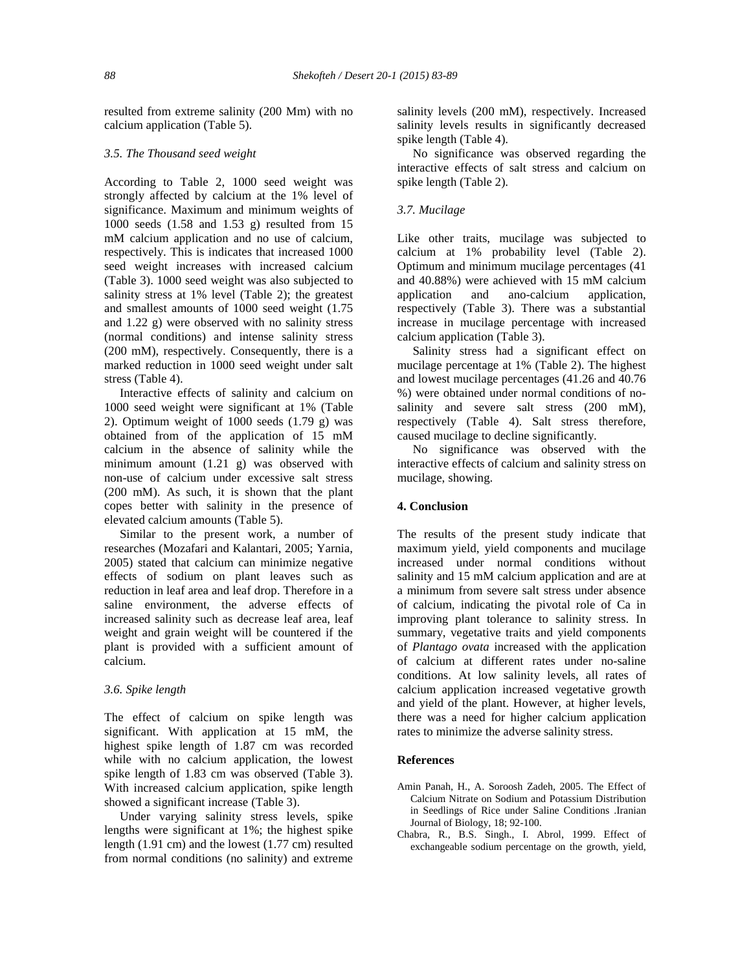resulted from extreme salinity (200 Mm) with no calcium application (Table 5).

## *3.5. The Thousand seed weight*

According to Table 2, 1000 seed weight was strongly affected by calcium at the 1% level of significance. Maximum and minimum weights of 1000 seeds (1.58 and 1.53 g) resulted from 15 mM calcium application and no use of calcium, respectively. This is indicates that increased 1000 seed weight increases with increased calcium (Table 3). 1000 seed weight was also subjected to salinity stress at 1% level (Table 2); the greatest and smallest amounts of 1000 seed weight (1.75 and 1.22 g) were observed with no salinity stress (normal conditions) and intense salinity stress (200 mM), respectively. Consequently, there is a marked reduction in 1000 seed weight under salt stress (Table 4).

Interactive effects of salinity and calcium on 1000 seed weight were significant at 1% (Table 2). Optimum weight of  $1000$  seeds  $(1.79 \text{ g})$  was obtained from of the application of 15 mM calcium in the absence of salinity while the minimum amount (1.21 g) was observed with non-use of calcium under excessive salt stress (200 mM). As such, it is shown that the plant copes better with salinity in the presence of elevated calcium amounts (Table 5).

Similar to the present work, a number of researches (Mozafari and Kalantari, 2005; Yarnia, 2005) stated that calcium can minimize negative effects of sodium on plant leaves such as reduction in leaf area and leaf drop. Therefore in a saline environment, the adverse effects of increased salinity such as decrease leaf area, leaf weight and grain weight will be countered if the plant is provided with a sufficient amount of calcium.

## *3.6. Spike length*

The effect of calcium on spike length was significant. With application at 15 mM, the highest spike length of 1.87 cm was recorded while with no calcium application, the lowest spike length of 1.83 cm was observed (Table 3). With increased calcium application, spike length showed a significant increase (Table 3).

Under varying salinity stress levels, spike lengths were significant at 1%; the highest spike length (1.91 cm) and the lowest (1.77 cm) resulted from normal conditions (no salinity) and extreme salinity levels (200 mM), respectively. Increased salinity levels results in significantly decreased spike length (Table 4).

No significance was observed regarding the interactive effects of salt stress and calcium on spike length (Table 2).

## *3.7. Mucilage*

Like other traits, mucilage was subjected to calcium at 1% probability level (Table 2). Optimum and minimum mucilage percentages (41 and 40.88%) were achieved with 15 mM calcium application and ano-calcium application, respectively (Table 3). There was a substantial increase in mucilage percentage with increased calcium application (Table 3).

Salinity stress had a significant effect on mucilage percentage at 1% (Table 2). The highest and lowest mucilage percentages (41.26 and 40.76 %) were obtained under normal conditions of no salinity and severe salt stress (200 mM), respectively (Table 4). Salt stress therefore, caused mucilage to decline significantly.

No significance was observed with the interactive effects of calcium and salinity stress on mucilage, showing.

## **4. Conclusion**

The results of the present study indicate that maximum yield, yield components and mucilage increased under normal conditions without salinity and 15 mM calcium application and are at a minimum from severe salt stress under absence of calcium, indicating the pivotal role of Ca in improving plant tolerance to salinity stress. In summary, vegetative traits and yield components of *Plantago ovata* increased with the application of calcium at different rates under no-saline conditions. At low salinity levels, all rates of calcium application increased vegetative growth and yield of the plant. However, at higher levels, there was a need for higher calcium application rates to minimize the adverse salinity stress.

## **References**

- Amin Panah, H., A. Soroosh Zadeh, 2005. The Effect of Calcium Nitrate on Sodium and Potassium Distribution in Seedlings of Rice under Saline Conditions .Iranian Journal of Biology, 18; 92-100.
- Chabra, R., B.S. Singh., I. Abrol, 1999. Effect of exchangeable sodium percentage on the growth, yield,